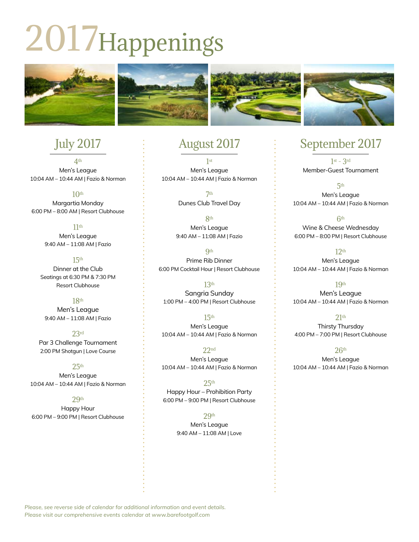# 2017Happenings



# July 2017

4th Men's League 10:04 AM – 10:44 AM | Fazio & Norman

 $10<sup>th</sup>$ Margartia Monday 6:00 PM – 8:00 AM | Resort Clubhouse

> $11<sup>th</sup>$ Men's League 9:40 AM – 11:08 AM | Fazio

15th Dinner at the Club Seatings at 6:30 PM & 7:30 PM Resort Clubhouse

18th Men's League 9:40 AM – 11:08 AM | Fazio

23rd Par 3 Challenge Tournament 2:00 PM Shotgun | Love Course

 $25<sup>th</sup>$ Men's League

10:04 AM – 10:44 AM | Fazio & Norman

 $29<sub>th</sub>$ Happy Hour 6:00 PM – 9:00 PM | Resort Clubhouse

## August 2017

1st Men's League 10:04 AM – 10:44 AM | Fazio & Norman

> 7th Dunes Club Travel Day

8th Men's League 9:40 AM – 11:08 AM | Fazio

**9th** Prime Rib Dinner 6:00 PM Cocktail Hour | Resort Clubhouse

13th Sangria Sunday 1:00 PM – 4:00 PM | Resort Clubhouse

15th Men's League 10:04 AM – 10:44 AM | Fazio & Norman

22nd Men's League 10:04 AM – 10:44 AM | Fazio & Norman

 $25<sup>th</sup>$ Happy Hour – Prohibition Party 6:00 PM – 9:00 PM | Resort Clubhouse

> $29<sup>th</sup>$ Men's League 9:40 AM – 11:08 AM | Love

# September 2017

 $1$ st  $-$  3rd Member-Guest Tournament

5th Men's League 10:04 AM – 10:44 AM | Fazio & Norman

6th Wine & Cheese Wednesday 6:00 PM – 8:00 PM | Resort Clubhouse

12th Men's League 10:04 AM – 10:44 AM | Fazio & Norman

19th Men's League 10:04 AM – 10:44 AM | Fazio & Norman

 $21<sup>th</sup>$ Thirsty Thursday 4:00 PM – 7:00 PM | Resort Clubhouse

 $26<sup>th</sup>$ Men's League 10:04 AM – 10:44 AM | Fazio & Norman

*Please, see reverse side of calendar for additional information and event details. Please visit our comprehensive events calendar at www.barefootgolf.com*